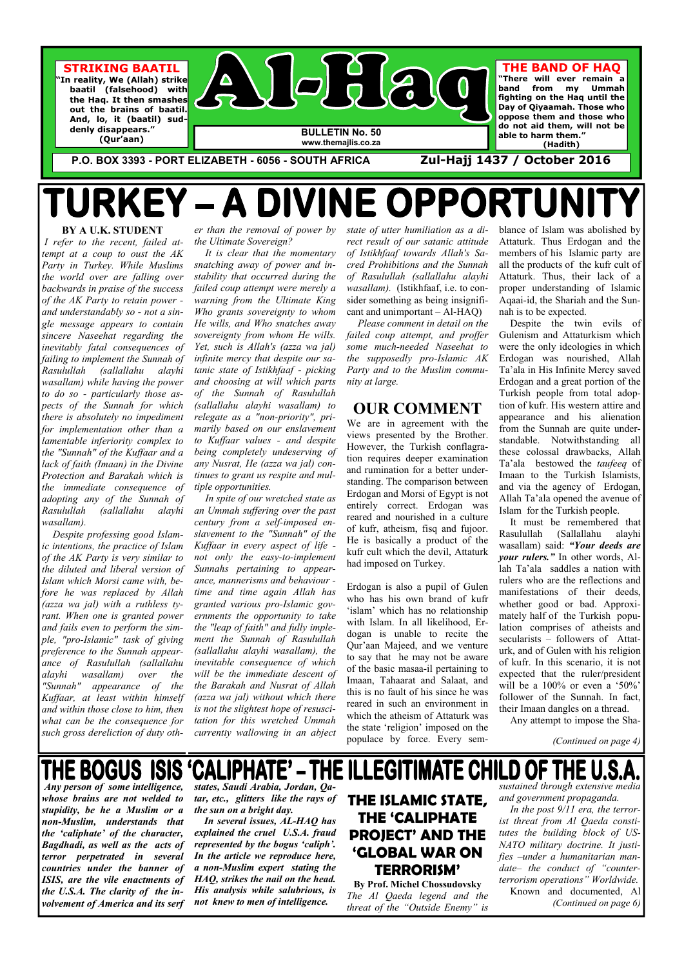**BY A U.K. STUDENT**   *I refer to the recent, failed attempt at a coup to oust the AK Party in Turkey. While Muslims the world over are falling over backwards in praise of the success of the AK Party to retain power and understandably so - not a single message appears to contain sincere Naseehat regarding the inevitably fatal consequences of failing to implement the Sunnah of Rasulullah (sallallahu alayhi wasallam) while having the power to do so - particularly those aspects of the Sunnah for which there is absolutely no impediment for implementation other than a lamentable inferiority complex to the "Sunnah" of the Kuffaar and a lack of faith (Imaan) in the Divine Protection and Barakah which is the immediate consequence of adopting any of the Sunnah of Rasulullah (sallallahu alayhi wasallam).* 

*er than the removal of power by the Ultimate Sovereign?* 

 *It is clear that the momentary snatching away of power and instability that occurred during the failed coup attempt were merely a warning from the Ultimate King Who grants sovereignty to whom He wills, and Who snatches away sovereignty from whom He wills. Yet, such is Allah's (azza wa jal) infinite mercy that despite our satanic state of Istikhfaaf - picking and choosing at will which parts of the Sunnah of Rasulullah (sallallahu alayhi wasallam) to relegate as a "non-priority", primarily based on our enslavement to Kuffaar values - and despite being completely undeserving of any Nusrat, He (azza wa jal) continues to grant us respite and multiple opportunities.* 

 *Despite professing good Islamic intentions, the practice of Islam of the AK Party is very similar to the diluted and liberal version of Islam which Morsi came with, before he was replaced by Allah (azza wa jal) with a ruthless tyrant. When one is granted power and fails even to perform the simple, "pro-Islamic" task of giving preference to the Sunnah appearance of Rasulullah (sallallahu alayhi wasallam) over the "Sunnah" appearance of the Kuffaar, at least within himself and within those close to him, then what can be the consequence for such gross dereliction of duty oth-currently wallowing in an abject* 

 *In spite of our wretched state as an Ummah suffering over the past century from a self-imposed enslavement to the "Sunnah" of the Kuffaar in every aspect of life not only the easy-to-implement Sunnahs pertaining to appearance, mannerisms and behaviour time and time again Allah has granted various pro-Islamic governments the opportunity to take the "leap of faith" and fully implement the Sunnah of Rasulullah (sallallahu alayhi wasallam), the inevitable consequence of which will be the immediate descent of the Barakah and Nusrat of Allah (azza wa jal) without which there is not the slightest hope of resuscitation for this wretched Ummah* 

*state of utter humiliation as a direct result of our satanic attitude of Istikhfaaf towards Allah's Sacred Prohibitions and the Sunnah of Rasulullah (sallallahu alayhi wasallam).* (Istikhfaaf, i.e. to consider something as being insignificant and unimportant – Al-HAQ)



 *Please comment in detail on the failed coup attempt, and proffer some much-needed Naseehat to the supposedly pro-Islamic AK Party and to the Muslim community at large.* 

THE BOGUS ISIS  *Any person of some intelligence, whose brains are not welded to stupidity, be he a Muslim or a non-Muslim, understands that the 'caliphate' of the character, Bagdhadi, as well as the acts of terror perpetrated in several countries under the banner of ISIS, are the vile enactments of the U.S.A. The clarity of the involvement of America and its serf* 

### **OUR COMMENT**

We are in agreement with the views presented by the Brother. However, the Turkish conflagration requires deeper examination and rumination for a better understanding. The comparison between Erdogan and Morsi of Egypt is not entirely correct. Erdogan was reared and nourished in a culture of kufr, atheism, fisq and fujoor. He is basically a product of the kufr cult which the devil, Attaturk had imposed on Turkey.

Erdogan is also a pupil of Gulen who has his own brand of kufr 'islam' which has no relationship with Islam. In all likelihood, Erdogan is unable to recite the Qur'aan Majeed, and we venture to say that he may not be aware of the basic masaa-il pertaining to Imaan, Tahaarat and Salaat, and this is no fault of his since he was reared in such an environment in which the atheism of Attaturk was the state 'religion' imposed on the

populace by force. Every sem-

CALIPHATE' – THE ILLEGITIMATE CHILD OF THE U.S.

blance of Islam was abolished by Attaturk. Thus Erdogan and the members of his Islamic party are all the products of the kufr cult of Attaturk. Thus, their lack of a proper understanding of Islamic Aqaai-id, the Shariah and the Sunnah is to be expected.

 Despite the twin evils of Gulenism and Attaturkism which were the only ideologies in which Erdogan was nourished, Allah Ta'ala in His Infinite Mercy saved Erdogan and a great portion of the Turkish people from total adoption of kufr. His western attire and appearance and his alienation from the Sunnah are quite understandable. Notwithstanding all these colossal drawbacks, Allah Ta'ala bestowed the *taufeeq* of Imaan to the Turkish Islamists, and via the agency of Erdogan, Allah Ta'ala opened the avenue of Islam for the Turkish people.

 It must be remembered that Rasulullah (Sallallahu alayhi wasallam) said: *"Your deeds are your rulers."* In other words, Allah Ta'ala saddles a nation with rulers who are the reflections and manifestations of their deeds, whether good or bad. Approximately half of the Turkish population comprises of atheists and secularists – followers of Attaturk, and of Gulen with his religion of kufr. In this scenario, it is not expected that the ruler/president will be a 100% or even a '50%' follower of the Sunnah. In fact, their Imaan dangles on a thread.

Any attempt to impose the Sha-

*(Continued on page 4)* 

**P.O. BOX 3393 - PORT ELIZABETH - 6056 - SOUTH AFRICA Zul-Hajj 1437 / October 2016** 

# TURKEY - A DIVINE OPPORTUNIT

*states, Saudi Arabia, Jordan, Qatar, etc., glitters like the rays of the sun on a bright day.* 

 *In several issues, AL-HAQ has explained the cruel U.S.A. fraud represented by the bogus 'caliph'. In the article we reproduce here, a non-Muslim expert stating the HAQ, strikes the nail on the head. His analysis while salubrious, is not knew to men of intelligence.* 

**THE ISLAMIC STATE, THE 'CALIPHATE PROJECT' AND THE 'GLOBAL WAR ON TERRORISM'** 

**By Prof. Michel Chossudovsky**  *The Al Qaeda legend and the threat of the "Outside Enemy" is* 

*sustained through extensive media and government propaganda. In the post 9/11 era, the terrorist threat from Al Qaeda constitutes the building block of US-NATO military doctrine. It justifies –under a humanitarian mandate– the conduct of "counterterrorism operations" Worldwide.* Known and documented, Al *(Continued on page 6)*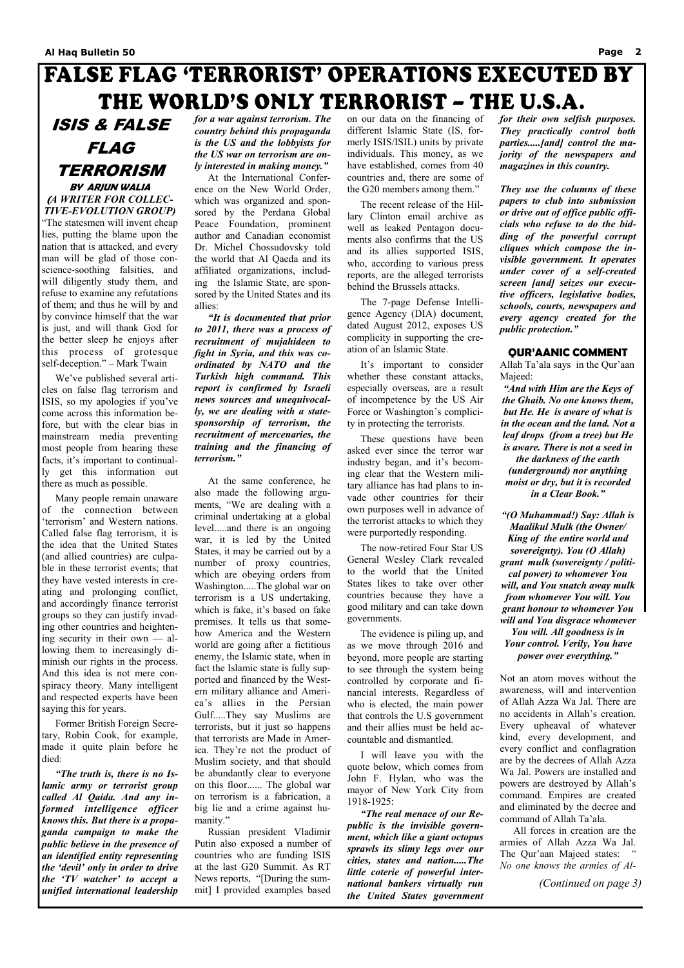### **FALSE FLAG 'TERRORIST' OPERATIONS EXECUTED BY** THE WORLD'S ONLY TERRORIST - THE U.S.A.

ISIS & FALSE FLAG TERRORISM **BY ARJUN WALIA (***A WRITER FOR COLLEC-TIVE-EVOLUTION GROUP)* 

"The statesmen will invent cheap lies, putting the blame upon the nation that is attacked, and every man will be glad of those conscience-soothing falsities, and will diligently study them, and refuse to examine any refutations of them; and thus he will by and by convince himself that the war is just, and will thank God for the better sleep he enjoys after this process of grotesque self-deception." – Mark Twain

 We've published several articles on false flag terrorism and ISIS, so my apologies if you've come across this information before, but with the clear bias in mainstream media preventing most people from hearing these facts, it's important to continually get this information out there as much as possible.

 Many people remain unaware of the connection between 'terrorism' and Western nations. Called false flag terrorism, it is the idea that the United States (and allied countries) are culpable in these terrorist events; that they have vested interests in creating and prolonging conflict, and accordingly finance terrorist groups so they can justify invading other countries and heightening security in their own — allowing them to increasingly diminish our rights in the process. And this idea is not mere conspiracy theory. Many intelligent and respected experts have been saying this for years.

Former British Foreign Secre-

tary, Robin Cook, for example, made it quite plain before he died:

 *"The truth is, there is no Islamic army or terrorist group called Al Qaida. And any informed intelligence officer knows this. But there is a propaganda campaign to make the public believe in the presence of an identified entity representing the 'devil' only in order to drive the 'TV watcher' to accept a unified international leadership* 

*for a war against terrorism. The country behind this propaganda is the US and the lobbyists for the US war on terrorism are only interested in making money."* 

 At the International Conference on the New World Order, which was organized and sponsored by the Perdana Global Peace Foundation, prominent author and Canadian economist Dr. Michel Chossudovsky told the world that Al Qaeda and its affiliated organizations, including the Islamic State, are sponsored by the United States and its allies:

 *"It is documented that prior to 2011, there was a process of recruitment of mujahideen to fight in Syria, and this was coordinated by NATO and the Turkish high command. This report is confirmed by Israeli news sources and unequivocally, we are dealing with a statesponsorship of terrorism, the recruitment of mercenaries, the training and the financing of terrorism."* 

 At the same conference, he also made the following arguments, "We are dealing with a criminal undertaking at a global level.....and there is an ongoing war, it is led by the United States, it may be carried out by a number of proxy countries, which are obeying orders from Washington.....The global war on terrorism is a US undertaking, which is fake, it's based on fake premises. It tells us that somehow America and the Western world are going after a fictitious enemy, the Islamic state, when in fact the Islamic state is fully supported and financed by the Western military alliance and America's allies in the Persian Gulf.....They say Muslims are terrorists, but it just so happens that terrorists are Made in America. They're not the product of Muslim society, and that should be abundantly clear to everyone on this floor...... The global war on terrorism is a fabrication, a big lie and a crime against humanity." Russian president Vladimir Putin also exposed a number of countries who are funding ISIS at the last G20 Summit. As RT News reports, "[During the summit] I provided examples based

on our data on the financing of different Islamic State (IS, formerly ISIS/ISIL) units by private individuals. This money, as we have established, comes from 40 countries and, there are some of the G20 members among them."

 The recent release of the Hillary Clinton email archive as well as leaked Pentagon documents also confirms that the US and its allies supported ISIS, who, according to various press reports, are the alleged terrorists behind the Brussels attacks.

 The 7-page Defense Intelligence Agency (DIA) document, dated August 2012, exposes US complicity in supporting the creation of an Islamic State.

 It's important to consider whether these constant attacks, especially overseas, are a result of incompetence by the US Air Force or Washington's complicity in protecting the terrorists.

 These questions have been asked ever since the terror war industry began, and it's becoming clear that the Western military alliance has had plans to invade other countries for their own purposes well in advance of the terrorist attacks to which they were purportedly responding.

 The now-retired Four Star US General Wesley Clark revealed to the world that the United States likes to take over other countries because they have a good military and can take down governments.

 The evidence is piling up, and as we move through 2016 and beyond, more people are starting to see through the system being controlled by corporate and financial interests. Regardless of who is elected, the main power that controls the U.S government and their allies must be held ac-

countable and dismantled.

 I will leave you with the quote below, which comes from John F. Hylan, who was the mayor of New York City from 1918-1925:

 *"The real menace of our Republic is the invisible government, which like a giant octopus sprawls its slimy legs over our cities, states and nation.....The little coterie of powerful international bankers virtually run the United States government* 

*for their own selfish purposes. They practically control both parties.....[and] control the majority of the newspapers and magazines in this country.* 

*They use the columns of these papers to club into submission or drive out of office public officials who refuse to do the bidding of the powerful corrupt cliques which compose the invisible government. It operates under cover of a self-created screen [and] seizes our executive officers, legislative bodies, schools, courts, newspapers and every agency created for the public protection."* 

### **QUR'AANIC COMMENT**

Allah Ta'ala says in the Qur'aan Majeed:

*"And with Him are the Keys of the Ghaib. No one knows them, but He. He is aware of what is in the ocean and the land. Not a leaf drops (from a tree) but He is aware. There is not a seed in the darkness of the earth (underground) nor anything moist or dry, but it is recorded in a Clear Book."* 

*"(O Muhammad!) Say: Allah is Maalikul Mulk (the Owner/ King of the entire world and sovereignty). You (O Allah) grant mulk (sovereignty / political power) to whomever You will, and You snatch away mulk from whomever You will. You grant honour to whomever You will and You disgrace whomever You will. All goodness is in Your control. Verily, You have power over everything."* 

Not an atom moves without the awareness, will and intervention of Allah Azza Wa Jal. There are no accidents in Allah's creation. Every upheaval of whatever kind, every development, and every conflict and conflagration are by the decrees of Allah Azza Wa Jal. Powers are installed and powers are destroyed by Allah's command. Empires are created and eliminated by the decree and command of Allah Ta'ala. All forces in creation are the armies of Allah Azza Wa Jal. The Qur'aan Majeed states: *" No one knows the armies of Al-*

*(Continued on page 3)*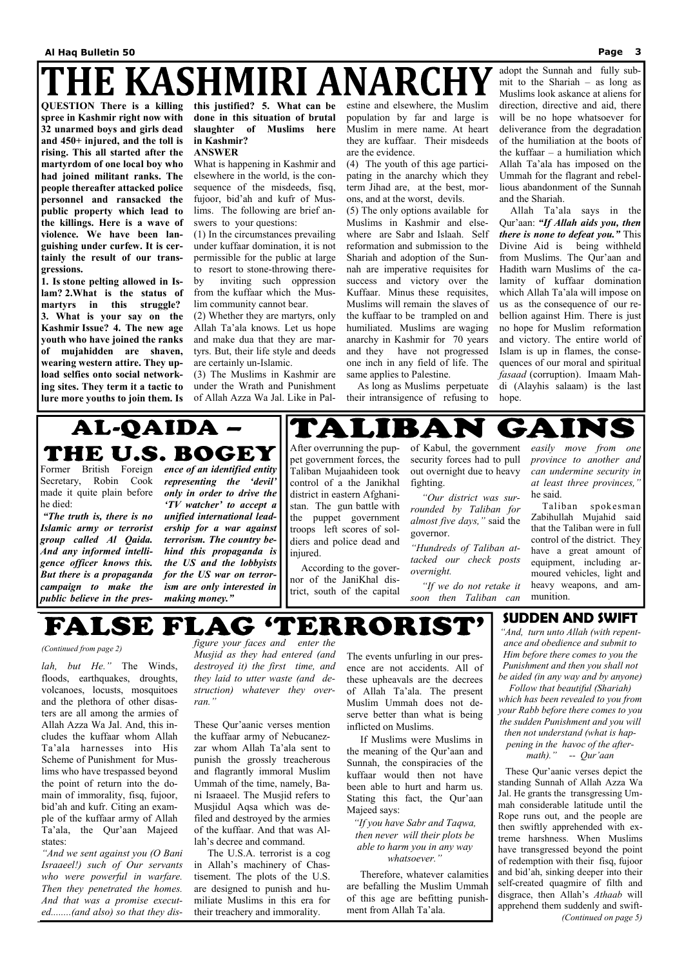## HE KASHMIRI ANARCH

*lah, but He."* The Winds, floods, earthquakes, droughts, volcanoes, locusts, mosquitoes and the plethora of other disasters are all among the armies of Allah Azza Wa Jal. And, this includes the kuffaar whom Allah Ta'ala harnesses into His Scheme of Punishment for Muslims who have trespassed beyond the point of return into the domain of immorality, fisq, fujoor, bid'ah and kufr. Citing an example of the kuffaar army of Allah Ta'ala, the Qur'aan Majeed states: *"And we sent against you (O Bani Israaeel!) such of Our servants who were powerful in warfare. Then they penetrated the homes. And that was a promise executed........(and also) so that they dis-* *figure your faces and enter the Musjid as they had entered (and destroyed it) the first time, and they laid to utter waste (and destruction) whatever they overran."* 

These Qur'aanic verses mention

the kuffaar army of Nebucanezzar whom Allah Ta'ala sent to punish the grossly treacherous and flagrantly immoral Muslim Ummah of the time, namely, Bani Israaeel. The Musjid refers to Musjidul Aqsa which was defiled and destroyed by the armies of the kuffaar. And that was Allah's decree and command.

 The U.S.A. terrorist is a cog in Allah's machinery of Chastisement. The plots of the U.S. are designed to punish and humiliate Muslims in this era for their treachery and immorality.

The events unfurling in our presence are not accidents. All of these upheavals are the decrees of Allah Ta'ala. The present Muslim Ummah does not deserve better than what is being inflicted on Muslims.

 If Muslims were Muslims in the meaning of the Qur'aan and Sunnah, the conspiracies of the kuffaar would then not have been able to hurt and harm us. Stating this fact, the Qur'aan Majeed says:

*"If you have Sabr and Taqwa, then never will their plots be able to harm you in any way whatsoever."* 

 Therefore, whatever calamities are befalling the Muslim Ummah of this age are befitting punishment from Allah Ta'ala.

#### *(Continued from page 2)*

**QUESTION There is a killing spree in Kashmir right now with 32 unarmed boys and girls dead and 450+ injured, and the toll is rising. This all started after the martyrdom of one local boy who had joined militant ranks. The people thereafter attacked police personnel and ransacked the public property which lead to the killings. Here is a wave of violence. We have been languishing under curfew. It is certainly the result of our transgressions.** 

**1. Is stone pelting allowed in Islam? 2.What is the status of martyrs in this struggle? 3. What is your say on the Kashmir Issue? 4. The new age youth who have joined the ranks of mujahidden are shaven, wearing western attire. They upload selfies onto social networking sites. They term it a tactic to lure more youths to join them. Is**  **this justified? 5. What can be done in this situation of brutal slaughter of Muslims here in Kashmir?** 

#### **ANSWER**

What is happening in Kashmir and elsewhere in the world, is the consequence of the misdeeds, fisq, fujoor, bid'ah and kufr of Muslims. The following are brief answers to your questions:

(1) In the circumstances prevailing under kuffaar domination, it is not permissible for the public at large to resort to stone-throwing thereby inviting such oppression from the kuffaar which the Mus-

lim community cannot bear. (2) Whether they are martyrs, only

Allah Ta'ala knows. Let us hope and make dua that they are martyrs. But, their life style and deeds are certainly un-Islamic.

(3) The Muslims in Kashmir are under the Wrath and Punishment of Allah Azza Wa Jal. Like in Palestine and elsewhere, the Muslim population by far and large is Muslim in mere name. At heart they are kuffaar. Their misdeeds are the evidence.

(4) The youth of this age participating in the anarchy which they term Jihad are, at the best, morons, and at the worst, devils.

(5) The only options available for Muslims in Kashmir and elsewhere are Sabr and Islaah. Self reformation and submission to the Shariah and adoption of the Sunnah are imperative requisites for success and victory over the Kuffaar. Minus these requisites, Muslims will remain the slaves of the kuffaar to be trampled on and humiliated. Muslims are waging anarchy in Kashmir for 70 years and they have not progressed one inch in any field of life. The same applies to Palestine.

 As long as Muslims perpetuate their intransigence of refusing to

BA

adopt the Sunnah and fully submit to the Shariah – as long as Muslims look askance at aliens for direction, directive and aid, there will be no hope whatsoever for deliverance from the degradation of the humiliation at the boots of the kuffaar – a humiliation which Allah Ta'ala has imposed on the Ummah for the flagrant and rebellious abandonment of the Sunnah and the Shariah.

 Allah Ta'ala says in the Qur'aan: *"If Allah aids you, then there is none to defeat you."* This Divine Aid is being withheld from Muslims. The Qur'aan and Hadith warn Muslims of the calamity of kuffaar domination which Allah Ta'ala will impose on us as the consequence of our rebellion against Him. There is just no hope for Muslim reformation and victory. The entire world of Islam is up in flames, the consequences of our moral and spiritual *fasaad* (corruption). Imaam Mahdi (Alayhis salaam) is the last hope.

## AL-QAIDA -THE U.S. BOGEY

Former British Foreign Secretary, Robin Cook made it quite plain before he died:

 *"The truth is, there is no Islamic army or terrorist group called Al Qaida. And any informed intelligence officer knows this. But there is a propaganda campaign to make the public believe in the pres-*

*ence of an identified entity representing the 'devil' only in order to drive the 'TV watcher' to accept a unified international leadership for a war against terrorism. The country behind this propaganda is the US and the lobbyists for the US war on terrorism are only interested in making money."*

After overrunning the puppet government forces, the Taliban Mujaahideen took control of a the Janikhal district in eastern Afghanistan. The gun battle with the puppet government troops left scores of soldiers and police dead and injured.

TA

 $\blacksquare$ 

**CA** 

 According to the governor of the JaniKhal district, south of the capital

of Kabul, the government security forces had to pull out overnight due to heavy fighting.

 *"Our district was surrounded by Taliban for almost five days,"* said the governor.

*"Hundreds of Taliban attacked our check posts overnight.*

 *"If we do not retake it soon then Taliban can* 

*easily move from one province to another and can undermine security in at least three provinces,"* he said.

GAINS

 Taliban spokesman Zabihullah Mujahid said that the Taliban were in full control of the district. They have a great amount of equipment, including armoured vehicles, light and heavy weapons, and ammunition.

### 'ERRORIST' FALSE FLAG

### **SUDDEN AND SWIFT**

*"And, turn unto Allah (with repentance and obedience and submit to Him before there comes to you the Punishment and then you shall not be aided (in any way and by anyone)* 

*Follow that beautiful (Shariah) which has been revealed to you from your Rabb before there comes to you the sudden Punishment and you will then not understand (what is happening in the havoc of the aftermath)." -- Qur'aan* 

 These Qur'aanic verses depict the standing Sunnah of Allah Azza Wa Jal. He grants the transgressing Ummah considerable latitude until the Rope runs out, and the people are then swiftly apprehended with extreme harshness. When Muslims have transgressed beyond the point of redemption with their fisq, fujoor and bid'ah, sinking deeper into their self-created quagmire of filth and disgrace, then Allah's *Athaab* will apprehend them suddenly and swift- *(Continued on page 5)*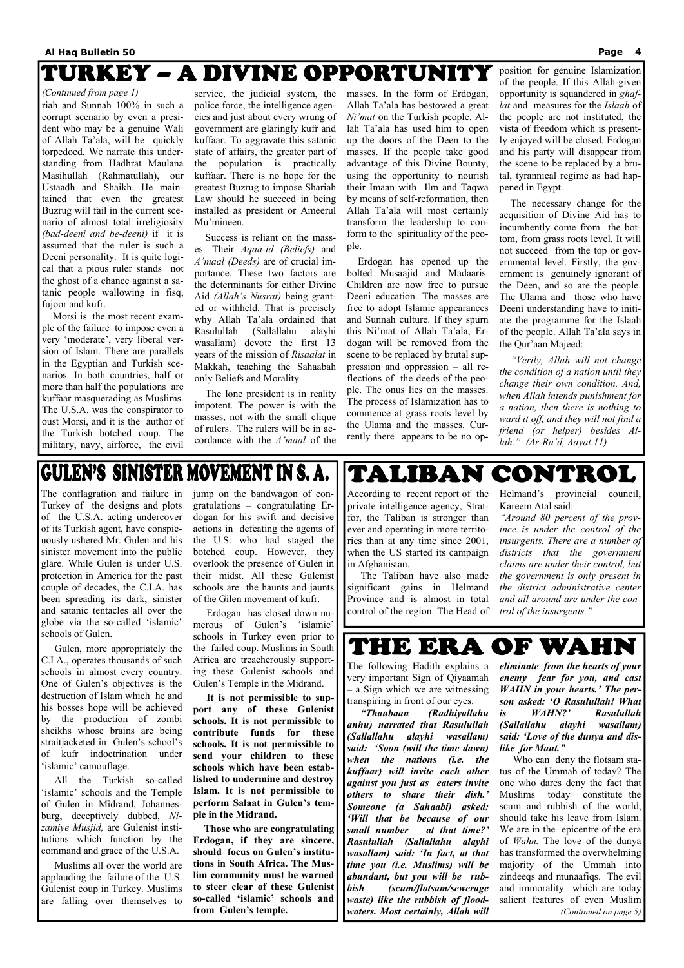### TURKEY – A DIVINE OPPORTUNITY

riah and Sunnah 100% in such a corrupt scenario by even a president who may be a genuine Wali of Allah Ta'ala, will be quickly torpedoed. We narrate this understanding from Hadhrat Maulana Masihullah (Rahmatullah), our Ustaadh and Shaikh. He maintained that even the greatest Buzrug will fail in the current scenario of almost total irreligiosity *(bad-deeni and be-deeni)* if it is assumed that the ruler is such a Deeni personality. It is quite logical that a pious ruler stands not the ghost of a chance against a satanic people wallowing in fisq, fujoor and kufr.

 Morsi is the most recent example of the failure to impose even a very 'moderate', very liberal version of Islam. There are parallels in the Egyptian and Turkish scenarios. In both countries, half or more than half the populations are kuffaar masquerading as Muslims. The U.S.A. was the conspirator to oust Morsi, and it is the author of the Turkish botched coup. The military, navy, airforce, the civil

service, the judicial system, the police force, the intelligence agencies and just about every wrung of government are glaringly kufr and kuffaar. To aggravate this satanic state of affairs, the greater part of the population is practically kuffaar. There is no hope for the greatest Buzrug to impose Shariah Law should he succeed in being installed as president or Ameerul Mu'mineen.

 Success is reliant on the masses. Their *Aqaa-id (Beliefs)* and *A'maal (Deeds)* are of crucial importance. These two factors are the determinants for either Divine Aid *(Allah's Nusrat)* being granted or withheld. That is precisely why Allah Ta'ala ordained that Rasulullah (Sallallahu alayhi wasallam) devote the first 13 years of the mission of *Risaalat* in Makkah, teaching the Sahaabah only Beliefs and Morality.

 The lone president is in reality impotent. The power is with the masses, not with the small clique of rulers. The rulers will be in accordance with the *A'maal* of the masses. In the form of Erdogan, Allah Ta'ala has bestowed a great *Ni'mat* on the Turkish people. Allah Ta'ala has used him to open up the doors of the Deen to the masses. If the people take good advantage of this Divine Bounty, using the opportunity to nourish their Imaan with Ilm and Taqwa by means of self-reformation, then Allah Ta'ala will most certainly transform the leadership to conform to the spirituality of the people.

 Erdogan has opened up the bolted Musaajid and Madaaris. Children are now free to pursue Deeni education. The masses are free to adopt Islamic appearances and Sunnah culture. If they spurn this Ni'mat of Allah Ta'ala, Erdogan will be removed from the scene to be replaced by brutal suppression and oppression – all reflections of the deeds of the people. The onus lies on the masses. The process of Islamization has to commence at grass roots level by the Ulama and the masses. Currently there appears to be no opposition for genuine Islamization of the people. If this Allah-given opportunity is squandered in *ghaflat* and measures for the *Islaah* of the people are not instituted, the vista of freedom which is presently enjoyed will be closed. Erdogan and his party will disappear from the scene to be replaced by a brutal, tyrannical regime as had happened in Egypt.

 The necessary change for the acquisition of Divine Aid has to incumbently come from the bottom, from grass roots level. It will not succeed from the top or governmental level. Firstly, the government is genuinely ignorant of the Deen, and so are the people. The Ulama and those who have Deeni understanding have to initiate the programme for the Islaah of the people. Allah Ta'ala says in the Qur'aan Majeed:

*"Verily, Allah will not change the condition of a nation until they change their own condition. And, when Allah intends punishment for a nation, then there is nothing to ward it off, and they will not find a friend (or helper) besides Allah." (Ar-Ra'd, Aayat 11)* 

### **GULEN'S SINISTER MOVEMENT IN S. A.**

#### *(Continued from page 1)*

The conflagration and failure in Turkey of the designs and plots of the U.S.A. acting undercover of its Turkish agent, have conspicuously ushered Mr. Gulen and his sinister movement into the public glare. While Gulen is under U.S. protection in America for the past couple of decades, the C.I.A. has been spreading its dark, sinister and satanic tentacles all over the globe via the so-called 'islamic' schools of Gulen.

 Gulen, more appropriately the C.I.A., operates thousands of such schools in almost every country. One of Gulen's objectives is the destruction of Islam which he and his bosses hope will be achieved by the production of zombi sheikhs whose brains are being straitjacketed in Gulen's school's of kufr indoctrination under 'islamic' camouflage.

 All the Turkish so-called 'islamic' schools and the Temple of Gulen in Midrand, Johannesburg, deceptively dubbed, *Nizamiye Musjid,* are Gulenist institutions which function by the command and grace of the U.S.A.

 Muslims all over the world are applauding the failure of the U.S. Gulenist coup in Turkey. Muslims are falling over themselves to

jump on the bandwagon of congratulations – congratulating Erdogan for his swift and decisive actions in defeating the agents of the U.S. who had staged the botched coup. However, they overlook the presence of Gulen in their midst. All these Gulenist schools are the haunts and jaunts of the Gilen movement of kufr.

 Erdogan has closed down numerous of Gulen's 'islamic' schools in Turkey even prior to the failed coup. Muslims in South Africa are treacherously supporting these Gulenist schools and Gulen's Temple in the Midrand.

 **It is not permissible to support any of these Gulenist schools. It is not permissible to contribute funds for these schools. It is not permissible to send your children to these schools which have been established to undermine and destroy Islam. It is not permissible to perform Salaat in Gulen's temple in the Midrand.** 

 **Those who are congratulating Erdogan, if they are sincere, should focus on Gulen's institutions in South Africa. The Muslim community must be warned to steer clear of these Gulenist so-called 'islamic' schools and from Gulen's temple.**

According to recent report of the private intelligence agency, Stratfor, the Taliban is stronger than ever and operating in more territories than at any time since 2001, when the US started its campaign in Afghanistan.

 The Taliban have also made significant gains in Helmand Province and is almost in total control of the region. The Head of Helmand's provincial council, Kareem Atal said:

*"Around 80 percent of the province is under the control of the insurgents. There are a number of districts that the government claims are under their control, but the government is only present in the district administrative center and all around are under the control of the insurgents."* 

THE ERA OF WAHN

TALIBAN CONTROL

The following Hadith explains a very important Sign of Qiyaamah – a Sign which we are witnessing transpiring in front of our eyes.

 *"Thaubaan (Radhiyallahu anhu) narrated that Rasulullah (Sallallahu alayhi wasallam) said: 'Soon (will the time dawn) when the nations (i.e. the kuffaar) will invite each other against you just as eaters invite others to share their dish.' Someone (a Sahaabi) asked: 'Will that be because of our small number at that time?' Rasulullah (Sallallahu alayhi wasallam) said: 'In fact, at that time you (i.e. Muslims) will be abundant, but you will be rubbish (scum/flotsam/sewerage waste) like the rubbish of floodwaters. Most certainly, Allah will* 

*eliminate from the hearts of your enemy fear for you, and cast WAHN in your hearts.' The person asked: 'O Rasulullah! What is WAHN?' Rasulullah (Sallallahu alayhi wasallam)* 

*said: 'Love of the dunya and dislike for Maut."* 

 Who can deny the flotsam status of the Ummah of today? The one who dares deny the fact that Muslims today constitute the scum and rubbish of the world, should take his leave from Islam. We are in the epicentre of the era of *Wahn.* The love of the dunya has transformed the overwhelming majority of the Ummah into zindeeqs and munaafiqs. The evil and immorality which are today salient features of even Muslim *(Continued on page 5)*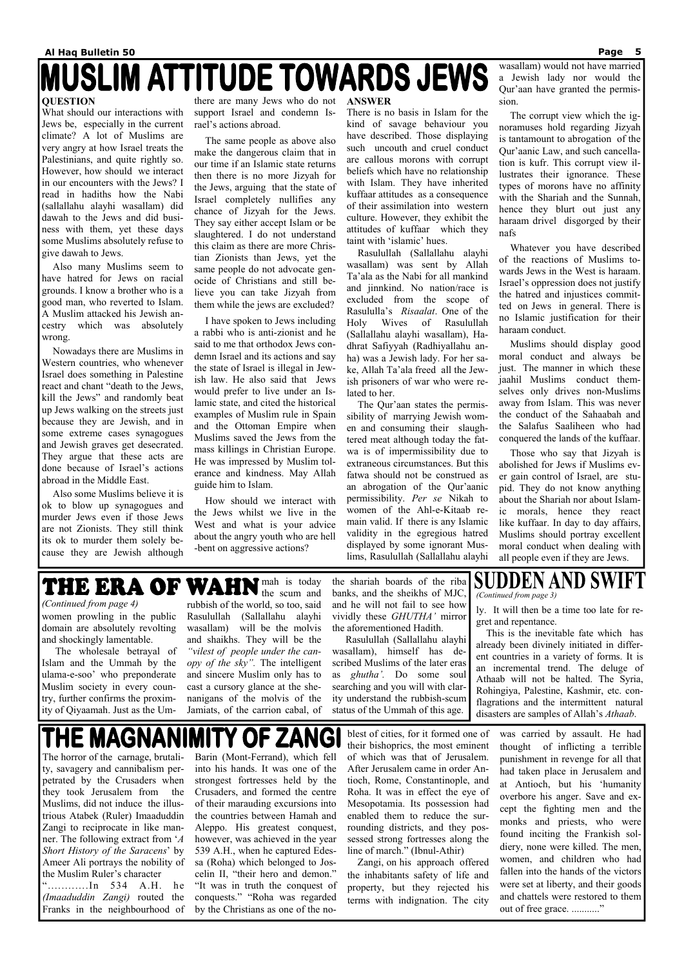## **MUSLIM ATTITUDE TOWARDS JEWS**

### **QUESTION**

What should our interactions with Jews be, especially in the current climate? A lot of Muslims are very angry at how Israel treats the Palestinians, and quite rightly so. However, how should we interact in our encounters with the Jews? I read in hadiths how the Nabi (sallallahu alayhi wasallam) did dawah to the Jews and did business with them, yet these days some Muslims absolutely refuse to give dawah to Jews.

 Also many Muslims seem to have hatred for Jews on racial grounds. I know a brother who is a good man, who reverted to Islam. A Muslim attacked his Jewish ancestry which was absolutely wrong.

 Nowadays there are Muslims in Western countries, who whenever Israel does something in Palestine react and chant "death to the Jews, kill the Jews" and randomly beat up Jews walking on the streets just because they are Jewish, and in some extreme cases synagogues and Jewish graves get desecrated. They argue that these acts are done because of Israel's actions abroad in the Middle East.

 Also some Muslims believe it is ok to blow up synagogues and murder Jews even if those Jews are not Zionists. They still think its ok to murder them solely because they are Jewish although

there are many Jews who do not support Israel and condemn Israel's actions abroad.

 The same people as above also make the dangerous claim that in our time if an Islamic state returns then there is no more Jizyah for the Jews, arguing that the state of Israel completely nullifies any chance of Jizyah for the Jews. They say either accept Islam or be slaughtered. I do not understand this claim as there are more Christian Zionists than Jews, yet the same people do not advocate genocide of Christians and still believe you can take Jizyah from them while the jews are excluded?

 I have spoken to Jews including a rabbi who is anti-zionist and he said to me that orthodox Jews condemn Israel and its actions and say the state of Israel is illegal in Jewish law. He also said that Jews would prefer to live under an Islamic state, and cited the historical examples of Muslim rule in Spain and the Ottoman Empire when Muslims saved the Jews from the mass killings in Christian Europe. He was impressed by Muslim tolerance and kindness. May Allah guide him to Islam.

 How should we interact with the Jews whilst we live in the West and what is your advice about the angry youth who are hell -bent on aggressive actions?

#### **ANSWER**

There is no basis in Islam for the kind of savage behaviour you have described. Those displaying such uncouth and cruel conduct are callous morons with corrupt beliefs which have no relationship with Islam. They have inherited kuffaar attitudes as a consequence of their assimilation into western culture. However, they exhibit the attitudes of kuffaar which they taint with 'islamic' hues.

 Rasulullah (Sallallahu alayhi wasallam) was sent by Allah Ta'ala as the Nabi for all mankind and jinnkind. No nation/race is excluded from the scope of Rasululla's *Risaalat*. One of the Holy Wives of Rasulullah (Sallallahu alayhi wasallam), Hadhrat Safiyyah (Radhiyallahu anha) was a Jewish lady. For her sake, Allah Ta'ala freed all the Jewish prisoners of war who were related to her.

> was carried by assault. He had thought of inflicting a terrible punishment in revenge for all that had taken place in Jerusalem and at Antioch, but his 'humanity overbore his anger. Save and except the fighting men and the monks and priests, who were found inciting the Frankish soldiery, none were killed. The men, women, and children who had fallen into the hands of the victors were set at liberty, and their goods and chattels were restored to them out of free grace. ............"

 The Qur'aan states the permissibility of marrying Jewish women and consuming their slaughtered meat although today the fatwa is of impermissibility due to extraneous circumstances. But this fatwa should not be construed as an abrogation of the Qur'aanic permissibility. *Per se* Nikah to women of the Ahl-e-Kitaab remain valid. If there is any Islamic validity in the egregious hatred displayed by some ignorant Muslims, Rasulullah (Sallallahu alayhi

mah is today the scum and rubbish of the world, so too, said Rasulullah (Sallallahu alayhi wasallam) will be the molvis and shaikhs. They will be the *"vilest of people under the canopy of the sky".* The intelligent and sincere Muslim only has to cast a cursory glance at the shenanigans of the molvis of the Jamiats, of the carrion cabal, of *(Continued from page 4)* **u** rubbish of the world, so too, said and he will not fail to see how ly. It will then be a time too late for re-

 $\mathbf{M}$  . The set of  $\mathbf{M}$ 

wasallam) would not have married a Jewish lady nor would the Qur'aan have granted the permission.

 The corrupt view which the ignoramuses hold regarding Jizyah is tantamount to abrogation of the Qur'aanic Law, and such cancellation is kufr. This corrupt view illustrates their ignorance. These types of morons have no affinity with the Shariah and the Sunnah, hence they blurt out just any haraam drivel disgorged by their nafs

### **SUDDEN AND SWIFT** *(Continued from page 3)*

 Whatever you have described of the reactions of Muslims towards Jews in the West is haraam. Israel's oppression does not justify the hatred and injustices committed on Jews in general. There is no Islamic justification for their haraam conduct.

 Muslims should display good moral conduct and always be just. The manner in which these jaahil Muslims conduct themselves only drives non-Muslims away from Islam. This was never the conduct of the Sahaabah and the Salafus Saaliheen who had conquered the lands of the kuffaar.

 Those who say that Jizyah is abolished for Jews if Muslims ever gain control of Israel, are stupid. They do not know anything about the Shariah nor about Islamic morals, hence they react like kuffaar. In day to day affairs, Muslims should portray excellent moral conduct when dealing with all people even if they are Jews.

The horror of the carnage, brutality, savagery and cannibalism perpetrated by the Crusaders when they took Jerusalem from the Muslims, did not induce the illustrious Atabek (Ruler) Imaaduddin Zangi to reciprocate in like manner. The following extract from '*A Short History of the Saracens*' by Ameer Ali portrays the nobility of the Muslim Ruler's character "............In 534 A.H. he *(Imaaduddin Zangi)* routed the Franks in the neighbourhood of

Barin (Mont-Ferrand), which fell into his hands. It was one of the strongest fortresses held by the Crusaders, and formed the centre of their marauding excursions into the countries between Hamah and Aleppo. His greatest conquest, however, was achieved in the year 539 A.H., when he captured Edessa (Roha) which belonged to Joscelin II, "their hero and demon." "It was in truth the conquest of conquests." "Roha was regarded by the Christians as one of the no-

blest of cities, for it formed one of their bishoprics, the most eminent of which was that of Jerusalem. After Jerusalem came in order Antioch, Rome, Constantinople, and Roha. It was in effect the eye of Mesopotamia. Its possession had enabled them to reduce the surrounding districts, and they possessed strong fortresses along the line of march." (Ibnul-Athir)

 Zangi, on his approach offered the inhabitants safety of life and property, but they rejected his terms with indignation. The city

women prowling in the public domain are absolutely revolting and shockingly lamentable.

 The wholesale betrayal of Islam and the Ummah by the ulama-e-soo' who preponderate Muslim society in every country, further confirms the proximity of Qiyaamah. Just as the Um-

the shariah boards of the riba banks, and the sheikhs of MJC, and he will not fail to see how vividly these *GHUTHA'* mirror the aforementioned Hadith.

 Rasulullah (Sallallahu alayhi wasallam), himself has described Muslims of the later eras as *ghutha'.* Do some soul searching and you will with clarity understand the rubbish-scum status of the Ummah of this age.

gret and repentance.

 This is the inevitable fate which has already been divinely initiated in different countries in a variety of forms. It is an incremental trend. The deluge of Athaab will not be halted. The Syria, Rohingiya, Palestine, Kashmir, etc. conflagrations and the intermittent natural disasters are samples of Allah's *Athaab*.

### THE MAGNANIMITY OF ZANGI

 $\overline{\bullet}$   $\overline{\bullet}$   $\overline{\bullet}$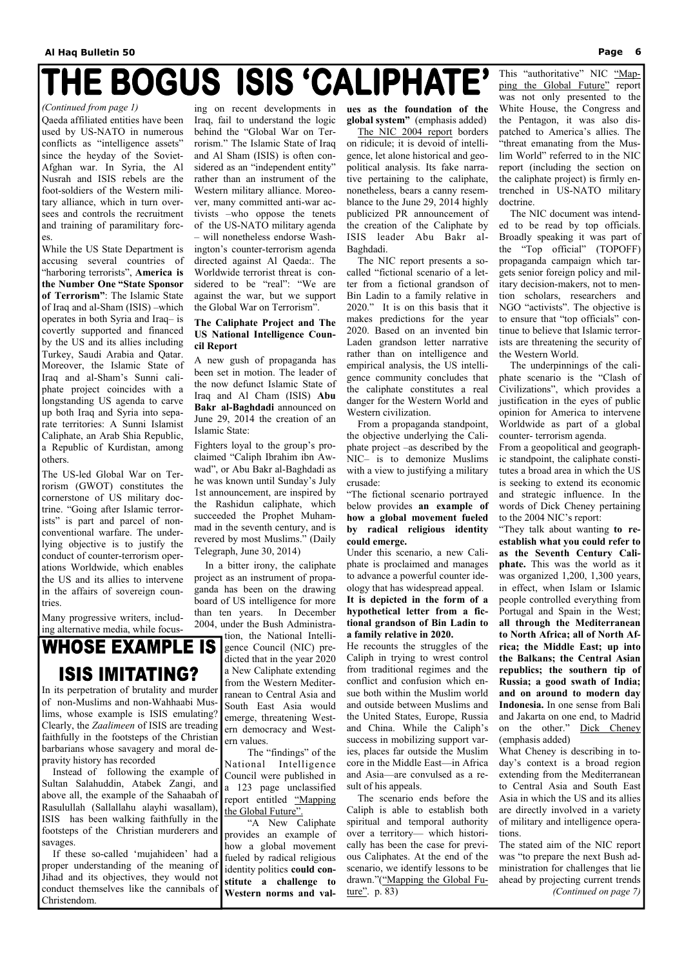## THE BOGUS ISIS 'CALIPHATE'

Qaeda affiliated entities have been used by US-NATO in numerous conflicts as "intelligence assets" since the heyday of the Soviet-Afghan war. In Syria, the Al Nusrah and ISIS rebels are the foot-soldiers of the Western military alliance, which in turn oversees and controls the recruitment and training of paramilitary forces.

While the US State Department is accusing several countries of "harboring terrorists", **America is the Number One "State Sponsor of Terrorism"**: The Islamic State of Iraq and al-Sham (ISIS) –which operates in both Syria and Iraq– is covertly supported and financed by the US and its allies including Turkey, Saudi Arabia and Qatar. Moreover, the Islamic State of Iraq and al-Sham's Sunni caliphate project coincides with a longstanding US agenda to carve up both Iraq and Syria into separate territories: A Sunni Islamist Caliphate, an Arab Shia Republic, a Republic of Kurdistan, among others.

The US-led Global War on Terrorism (GWOT) constitutes the cornerstone of US military doctrine. "Going after Islamic terrorists" is part and parcel of nonconventional warfare. The underlying objective is to justify the conduct of counter-terrorism operations Worldwide, which enables the US and its allies to intervene in the affairs of sovereign countries.

Many progressive writers, including alternative media, while focus-

### **WHOSE EXAMPLE IS ISIS IMITATING?**

ing on recent developments in Iraq, fail to understand the logic behind the "Global War on Terrorism." The Islamic State of Iraq and Al Sham (ISIS) is often considered as an "independent entity" rather than an instrument of the Western military alliance. Moreover, many committed anti-war activists –who oppose the tenets of the US-NATO military agenda – will nonetheless endorse Washington's counter-terrorism agenda directed against Al Qaeda:. The Worldwide terrorist threat is considered to be "real": "We are against the war, but we support the Global War on Terrorism".

### **The Caliphate Project and The US National Intelligence Council Report**

A new gush of propaganda has been set in motion. The leader of the now defunct Islamic State of Iraq and Al Cham (ISIS) **Abu Bakr al-Baghdadi** announced on June 29, 2014 the creation of an Islamic State:

> He recounts the struggles of the Caliph in trying to wrest control from traditional regimes and the conflict and confusion which ensue both within the Muslim world and outside between Muslims and the United States, Europe, Russia and China. While the Caliph's success in mobilizing support varies, places far outside the Muslim core in the Middle East—in Africa and Asia—are convulsed as a result of his appeals. The scenario ends before the Caliph is able to establish both spiritual and temporal authority over a territory— which historically has been the case for previous Caliphates. At the end of the scenario, we identify lessons to be drawn."("Mapping the Global Future". p. 83)

Fighters loyal to the group's proclaimed "Caliph Ibrahim ibn Awwad", or Abu Bakr al-Baghdadi as he was known until Sunday's July 1st announcement, are inspired by the Rashidun caliphate, which succeeded the Prophet Muhammad in the seventh century, and is revered by most Muslims." (Daily Telegraph, June 30, 2014)

 In a bitter irony, the caliphate project as an instrument of propaganda has been on the drawing board of US intelligence for more than ten years. In December 2004, under the Bush Administration, the National Intelli-

gence Council (NIC) predicted that in the year 2020 a New Caliphate extending from the Western Mediterranean to Central Asia and South East Asia would emerge, threatening Western democracy and Western values.

 The "findings" of the National Intelligence Council were published in a 123 page unclassified report entitled "Mapping the Global Future".

 "A New Caliphate provides an example of how a global movement fueled by radical religious identity politics **could constitute a challenge to Western norms and val-** **ues as the foundation of the global system"** (emphasis added)

 The NIC 2004 report borders on ridicule; it is devoid of intelligence, let alone historical and geopolitical analysis. Its fake narrative pertaining to the caliphate, nonetheless, bears a canny resemblance to the June 29, 2014 highly publicized PR announcement of the creation of the Caliphate by ISIS leader Abu Bakr al-Baghdadi.

 The NIC report presents a socalled "fictional scenario of a letter from a fictional grandson of Bin Ladin to a family relative in 2020." It is on this basis that it makes predictions for the year 2020. Based on an invented bin Laden grandson letter narrative rather than on intelligence and empirical analysis, the US intelligence community concludes that the caliphate constitutes a real danger for the Western World and Western civilization.

 From a propaganda standpoint, the objective underlying the Caliphate project –as described by the NIC– is to demonize Muslims with a view to justifying a military crusade:

"The fictional scenario portrayed below provides **an example of how a global movement fueled by radical religious identity could emerge.**

Under this scenario, a new Caliphate is proclaimed and manages to advance a powerful counter ideology that has widespread appeal. **It is depicted in the form of a hypothetical letter from a fictional grandson of Bin Ladin to a family relative in 2020.**

This "authoritative" NIC "Mapping the Global Future" report was not only presented to the White House, the Congress and the Pentagon, it was also dispatched to America's allies. The "threat emanating from the Muslim World" referred to in the NIC report (including the section on the caliphate project) is firmly entrenched in US-NATO military doctrine.

 The NIC document was intended to be read by top officials. Broadly speaking it was part of the "Top official" (TOPOFF) propaganda campaign which targets senior foreign policy and military decision-makers, not to mention scholars, researchers and NGO "activists". The objective is to ensure that "top officials" continue to believe that Islamic terrorists are threatening the security of the Western World.

 The underpinnings of the caliphate scenario is the "Clash of Civilizations", which provides a justification in the eyes of public opinion for America to intervene Worldwide as part of a global counter- terrorism agenda.

From a geopolitical and geographic standpoint, the caliphate constitutes a broad area in which the US is seeking to extend its economic and strategic influence. In the words of Dick Cheney pertaining to the 2004 NIC's report:

"They talk about wanting **to reestablish what you could refer to as the Seventh Century Caliphate.** This was the world as it was organized 1,200, 1,300 years, in effect, when Islam or Islamic people controlled everything from Portugal and Spain in the West; **all through the Mediterranean to North Africa; all of North Africa; the Middle East; up into the Balkans; the Central Asian republics; the southern tip of Russia; a good swath of India; and on around to modern day Indonesia.** In one sense from Bali and Jakarta on one end, to Madrid on the other." Dick Cheney (emphasis added) What Cheney is describing in today's context is a broad region extending from the Mediterranean to Central Asia and South East Asia in which the US and its allies are directly involved in a variety of military and intelligence operations.

The stated aim of the NIC report was "to prepare the next Bush administration for challenges that lie ahead by projecting current trends *(Continued on page 7)* 

#### *(Continued from page 1)*

In its perpetration of brutality and murder of non-Muslims and non-Wahhaabi Muslims, whose example is ISIS emulating? Clearly, the *Zaalimeen* of ISIS are treading faithfully in the footsteps of the Christian barbarians whose savagery and moral depravity history has recorded Instead of following the example of Sultan Salahuddin, Atabek Zangi, and above all, the example of the Sahaabah of Rasulullah (Sallallahu alayhi wasallam), ISIS has been walking faithfully in the footsteps of the Christian murderers and savages. If these so-called 'mujahideen' had a proper understanding of the meaning of Jihad and its objectives, they would not conduct themselves like the cannibals of Christendom.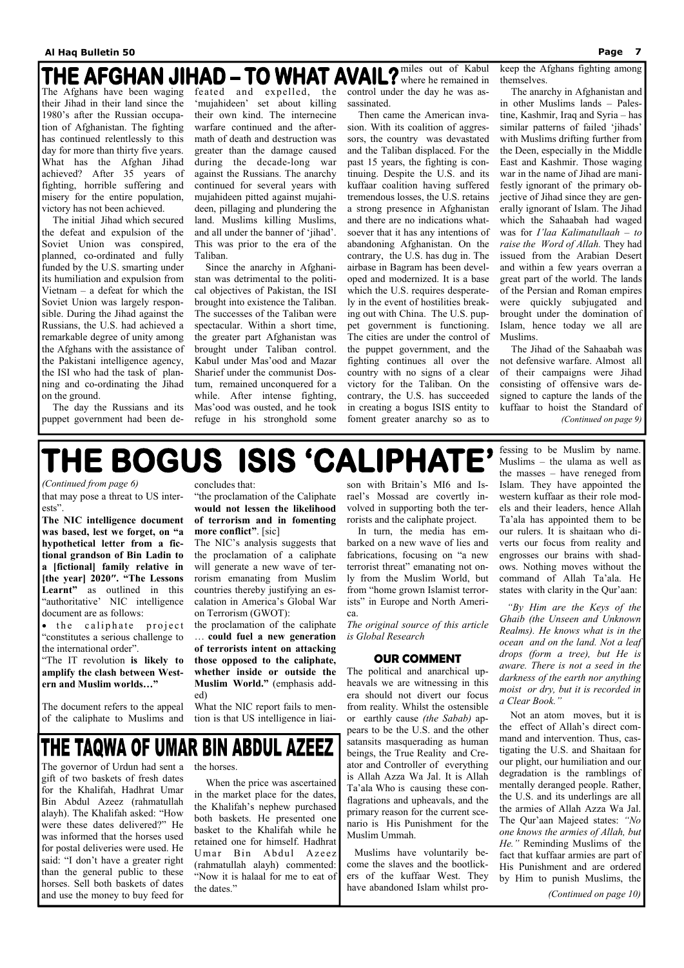that may pose a threat to US interests".

**The NIC intelligence document was based, lest we forget, on "a hypothetical letter from a fictional grandson of Bin Ladin to a [fictional] family relative in [the year] 2020″. "The Lessons Learnt"** as outlined in this "authoritative' NIC intelligence document are as follows:

• the caliphate project "constitutes a serious challenge to the international order".

"The IT revolution **is likely to amplify the clash between Western and Muslim worlds…"**

The document refers to the appeal of the caliphate to Muslims and concludes that:

"the proclamation of the Caliphate **would not lessen the likelihood of terrorism and in fomenting more conflict"**. [sic]

The NIC's analysis suggests that the proclamation of a caliphate will generate a new wave of terrorism emanating from Muslim countries thereby justifying an escalation in America's Global War on Terrorism (GWOT):

the proclamation of the caliphate … **could fuel a new generation of terrorists intent on attacking those opposed to the caliphate, whether inside or outside the Muslim World."** (emphasis added)

What the NIC report fails to mention is that US intelligence in liaison with Britain's MI6 and Israel's Mossad are covertly involved in supporting both the terrorists and the caliphate project.

 In turn, the media has embarked on a new wave of lies and fabrications, focusing on "a new terrorist threat" emanating not only from the Muslim World, but from "home grown Islamist terrorists" in Europe and North America.

*The original source of this article is Global Research* 

### **OUR COMMENT**

The political and anarchical upheavals we are witnessing in this era should not divert our focus from reality. Whilst the ostensible or earthly cause *(the Sabab)* appears to be the U.S. and the other satansits masquerading as human beings, the True Reality and Creator and Controller of everything is Allah Azza Wa Jal. It is Allah Ta'ala Who is causing these conflagrations and upheavals, and the primary reason for the current scenario is His Punishment for the Muslim Ummah.

 Muslims have voluntarily become the slaves and the bootlickers of the kuffaar West. They have abandoned Islam whilst professing to be Muslim by name. Muslims – the ulama as well as the masses – have reneged from Islam. They have appointed the western kuffaar as their role models and their leaders, hence Allah Ta'ala has appointed them to be our rulers. It is shaitaan who diverts our focus from reality and engrosses our brains with shadows. Nothing moves without the command of Allah Ta'ala. He states with clarity in the Qur'aan:

 *"By Him are the Keys of the Ghaib (the Unseen and Unknown Realms). He knows what is in the ocean and on the land. Not a leaf drops (form a tree), but He is aware. There is not a seed in the darkness of the earth nor anything moist or dry, but it is recorded in a Clear Book."* 

 Not an atom moves, but it is the effect of Allah's direct command and intervention. Thus, castigating the U.S. and Shaitaan for our plight, our humiliation and our degradation is the ramblings of mentally deranged people. Rather, the U.S. and its underlings are all the armies of Allah Azza Wa Jal. The Qur'aan Majeed states: *"No one knows the armies of Allah, but He."* Reminding Muslims of the fact that kuffaar armies are part of His Punishment and are ordered by Him to punish Muslims, the

## THE TAQWA OF UMAR BIN ABDUL AZEEZ

*(Continued from page 6)* 

*(Continued on page 10)* 

The governor of Urdun had sent a gift of two baskets of fresh dates for the Khalifah, Hadhrat Umar Bin Abdul Azeez (rahmatullah alayh). The Khalifah asked: "How were these dates delivered?" He was informed that the horses used for postal deliveries were used. He said: "I don't have a greater right than the general public to these horses. Sell both baskets of dates and use the money to buy feed for

the horses.

 When the price was ascertained in the market place for the dates, the Khalifah's nephew purchased both baskets. He presented one basket to the Khalifah while he retained one for himself. Hadhrat Umar Bin Abdul Azeez (rahmatullah alayh) commented: "Now it is halaal for me to eat of the dates."

The Afghans have been waging their Jihad in their land since the 1980's after the Russian occupation of Afghanistan. The fighting has continued relentlessly to this day for more than thirty five years. What has the Afghan Jihad achieved? After 35 years of fighting, horrible suffering and misery for the entire population, victory has not been achieved.

 The initial Jihad which secured the defeat and expulsion of the Soviet Union was conspired, planned, co-ordinated and fully funded by the U.S. smarting under its humiliation and expulsion from Vietnam – a defeat for which the Soviet Union was largely responsible. During the Jihad against the Russians, the U.S. had achieved a remarkable degree of unity among the Afghans with the assistance of the Pakistani intelligence agency, the ISI who had the task of planning and co-ordinating the Jihad on the ground.

 The day the Russians and its puppet government had been defeated and expelled, the 'mujahideen' set about killing their own kind. The internecine warfare continued and the aftermath of death and destruction was greater than the damage caused during the decade-long war against the Russians. The anarchy continued for several years with mujahideen pitted against mujahideen, pillaging and plundering the land. Muslims killing Muslims, and all under the banner of 'jihad'. This was prior to the era of the Taliban.

 Since the anarchy in Afghanistan was detrimental to the political objectives of Pakistan, the ISI brought into existence the Taliban. The successes of the Taliban were spectacular. Within a short time, the greater part Afghanistan was brought under Taliban control. Kabul under Mas'ood and Mazar Sharief under the communist Dostum, remained unconquered for a while. After intense fighting, Mas'ood was ousted, and he took refuge in his stronghold some

miles out of Kabul where he remained in control under the day he was assassinated.

 Then came the American invasion. With its coalition of aggressors, the country was devastated and the Taliban displaced. For the past 15 years, the fighting is continuing. Despite the U.S. and its kuffaar coalition having suffered tremendous losses, the U.S. retains a strong presence in Afghanistan and there are no indications whatsoever that it has any intentions of abandoning Afghanistan. On the contrary, the U.S. has dug in. The airbase in Bagram has been developed and modernized. It is a base which the U.S. requires desperately in the event of hostilities breaking out with China. The U.S. puppet government is functioning. The cities are under the control of the puppet government, and the fighting continues all over the country with no signs of a clear victory for the Taliban. On the contrary, the U.S. has succeeded in creating a bogus ISIS entity to foment greater anarchy so as to

keep the Afghans fighting among themselves.

 The anarchy in Afghanistan and in other Muslims lands – Palestine, Kashmir, Iraq and Syria – has similar patterns of failed 'jihads' with Muslims drifting further from the Deen, especially in the Middle East and Kashmir. Those waging war in the name of Jihad are manifestly ignorant of the primary objective of Jihad since they are generally ignorant of Islam. The Jihad which the Sahaabah had waged was for *I'laa Kalimatullaah – to raise the Word of Allah.* They had issued from the Arabian Desert and within a few years overran a great part of the world. The lands of the Persian and Roman empires were quickly subjugated and brought under the domination of Islam, hence today we all are Muslims.

 The Jihad of the Sahaabah was not defensive warfare. Almost all of their campaigns were Jihad consisting of offensive wars designed to capture the lands of the kuffaar to hoist the Standard of *(Continued on page 9)* 

## THE BOGUS ISIS 'CALIPHATE'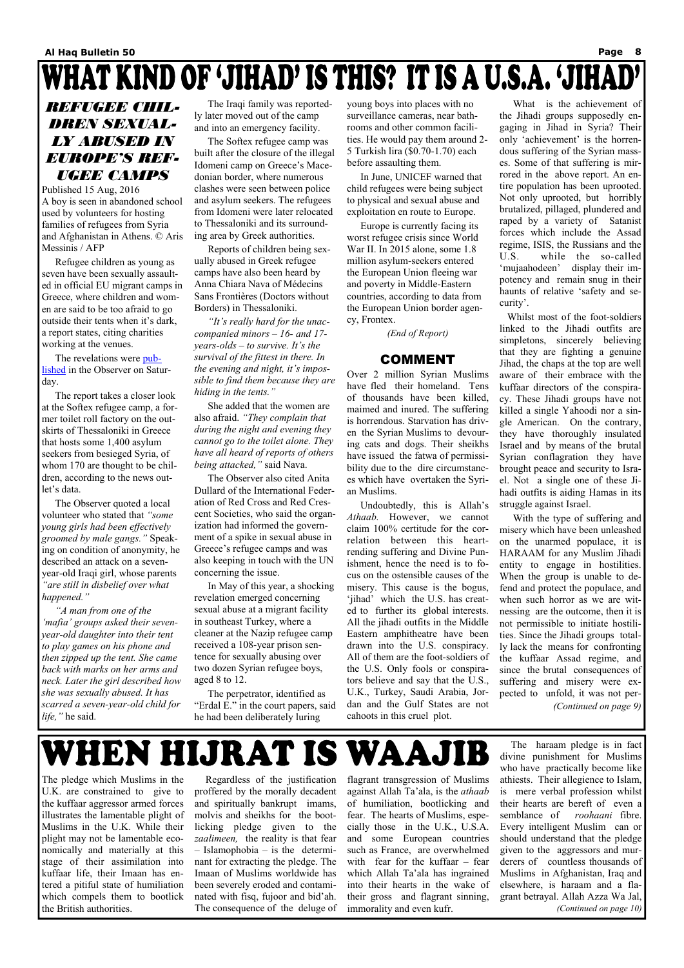## WHAT KIND OF 'JIHAD' IS THIS? IT IS A U.S.A. 'JIHAD

### *REFUGEE CHIL-DREN SEXUAL-LY ABUSED IN EUROPE'S REF-UGEE CAMPS*

Published 15 Aug, 2016 A boy is seen in abandoned school used by volunteers for hosting families of refugees from Syria and Afghanistan in Athens. © Aris Messinis / AFP

 Refugee children as young as seven have been sexually assaulted in official EU migrant camps in Greece, where children and women are said to be too afraid to go outside their tents when it's dark, a report states, citing charities working at the venues.

 The revelations were published in the Observer on Saturday.

 The report takes a closer look at the Softex refugee camp, a former toilet roll factory on the outskirts of Thessaloniki in Greece that hosts some 1,400 asylum seekers from besieged Syria, of whom 170 are thought to be children, according to the news outlet's data.

 The Observer quoted a local volunteer who stated that *"some young girls had been effectively groomed by male gangs."* Speaking on condition of anonymity, he described an attack on a sevenyear-old Iraqi girl, whose parents *"are still in disbelief over what happened."*

 *"A man from one of the 'mafia' groups asked their sevenyear-old daughter into their tent to play games on his phone and then zipped up the tent. She came back with marks on her arms and neck. Later the girl described how she was sexually abused. It has scarred a seven-year-old child for life,"* he said.

 The Iraqi family was reportedly later moved out of the camp and into an emergency facility.

 The Softex refugee camp was built after the closure of the illegal Idomeni camp on Greece's Macedonian border, where numerous clashes were seen between police and asylum seekers. The refugees from Idomeni were later relocated to Thessaloniki and its surrounding area by Greek authorities.

 Reports of children being sexually abused in Greek refugee camps have also been heard by Anna Chiara Nava of Médecins Sans Frontières (Doctors without Borders) in Thessaloniki.

 *"It's really hard for the unaccompanied minors – 16- and 17 years-olds – to survive. It's the survival of the fittest in there. In the evening and night, it's impossible to find them because they are hiding in the tents."*

 She added that the women are also afraid. *"They complain that during the night and evening they cannot go to the toilet alone. They have all heard of reports of others being attacked,"* said Nava.

 The Observer also cited Anita Dullard of the International Federation of Red Cross and Red Crescent Societies, who said the organization had informed the government of a spike in sexual abuse in Greece's refugee camps and was also keeping in touch with the UN concerning the issue.

 In May of this year, a shocking revelation emerged concerning sexual abuse at a migrant facility in southeast Turkey, where a cleaner at the Nazip refugee camp received a 108-year prison sentence for sexually abusing over two dozen Syrian refugee boys, aged 8 to 12.

 The perpetrator, identified as "Erdal E." in the court papers, said he had been deliberately luring

young boys into places with no surveillance cameras, near bathrooms and other common facilities. He would pay them around 2- 5 Turkish lira (\$0.70-1.70) each before assaulting them.

 In June, UNICEF warned that child refugees were being subject to physical and sexual abuse and exploitation en route to Europe.

 Europe is currently facing its worst refugee crisis since World War II. In 2015 alone, some 1.8 million asylum-seekers entered the European Union fleeing war and poverty in Middle-Eastern countries, according to data from the European Union border agency, Frontex.

*(End of Report)* 

### COMMENT

Over 2 million Syrian Muslims have fled their homeland. Tens of thousands have been killed, maimed and inured. The suffering is horrendous. Starvation has driven the Syrian Muslims to devouring cats and dogs. Their sheikhs have issued the fatwa of permissibility due to the dire circumstances which have overtaken the Syrian Muslims.

 Undoubtedly, this is Allah's *Athaab.* However, we cannot claim 100% certitude for the correlation between this heartrending suffering and Divine Punishment, hence the need is to focus on the ostensible causes of the misery. This cause is the bogus, 'jihad' which the U.S. has created to further its global interests. All the jihadi outfits in the Middle Eastern amphitheatre have been drawn into the U.S. conspiracy. All of them are the foot-soldiers of the U.S. Only fools or conspirators believe and say that the U.S., U.K., Turkey, Saudi Arabia, Jordan and the Gulf States are not cahoots in this cruel plot.

 What is the achievement of the Jihadi groups supposedly engaging in Jihad in Syria? Their only 'achievement' is the horrendous suffering of the Syrian masses. Some of that suffering is mirrored in the above report. An entire population has been uprooted. Not only uprooted, but horribly brutalized, pillaged, plundered and raped by a variety of Satanist forces which include the Assad regime, ISIS, the Russians and the U.S. while the so-called 'mujaahodeen' display their impotency and remain snug in their haunts of relative 'safety and security'.

 Whilst most of the foot-soldiers linked to the Jihadi outfits are simpletons, sincerely believing that they are fighting a genuine Jihad, the chaps at the top are well aware of their embrace with the kuffaar directors of the conspiracy. These Jihadi groups have not killed a single Yahoodi nor a single American. On the contrary, they have thoroughly insulated Israel and by means of the brutal Syrian conflagration they have brought peace and security to Israel. Not a single one of these Jihadi outfits is aiding Hamas in its struggle against Israel.

 With the type of suffering and misery which have been unleashed on the unarmed populace, it is HARAAM for any Muslim Jihadi entity to engage in hostilities. When the group is unable to defend and protect the populace, and when such horror as we are witnessing are the outcome, then it is not permissible to initiate hostilities. Since the Jihadi groups totally lack the means for confronting the kuffaar Assad regime, and since the brutal consequences of suffering and misery were expected to unfold, it was not per- *(Continued on page 9)* 

## WHEN HIJRAT IS WAAJIB

The pledge which Muslims in the U.K. are constrained to give to the kuffaar aggressor armed forces illustrates the lamentable plight of Muslims in the U.K. While their plight may not be lamentable economically and materially at this stage of their assimilation into kuffaar life, their Imaan has entered a pitiful state of humiliation which compels them to bootlick the British authorities.

 Regardless of the justification proffered by the morally decadent and spiritually bankrupt imams, molvis and sheikhs for the bootlicking pledge given to the *zaalimeen,* the reality is that fear – Islamophobia – is the determinant for extracting the pledge. The Imaan of Muslims worldwide has been severely eroded and contaminated with fisq, fujoor and bid'ah. The consequence of the deluge of flagrant transgression of Muslims against Allah Ta'ala, is the *athaab*  of humiliation, bootlicking and fear. The hearts of Muslims, especially those in the U.K., U.S.A. and some European countries such as France, are overwhelmed with fear for the kuffaar – fear which Allah Ta'ala has ingrained into their hearts in the wake of their gross and flagrant sinning, immorality and even kufr.

 The haraam pledge is in fact divine punishment for Muslims who have practically become like athiests. Their allegience to Islam, is mere verbal profession whilst their hearts are bereft of even a semblance of *roohaani* fibre. Every intelligent Muslim can or should understand that the pledge given to the aggressors and murderers of countless thousands of Muslims in Afghanistan, Iraq and elsewhere, is haraam and a flagrant betrayal. Allah Azza Wa Jal, *(Continued on page 10)*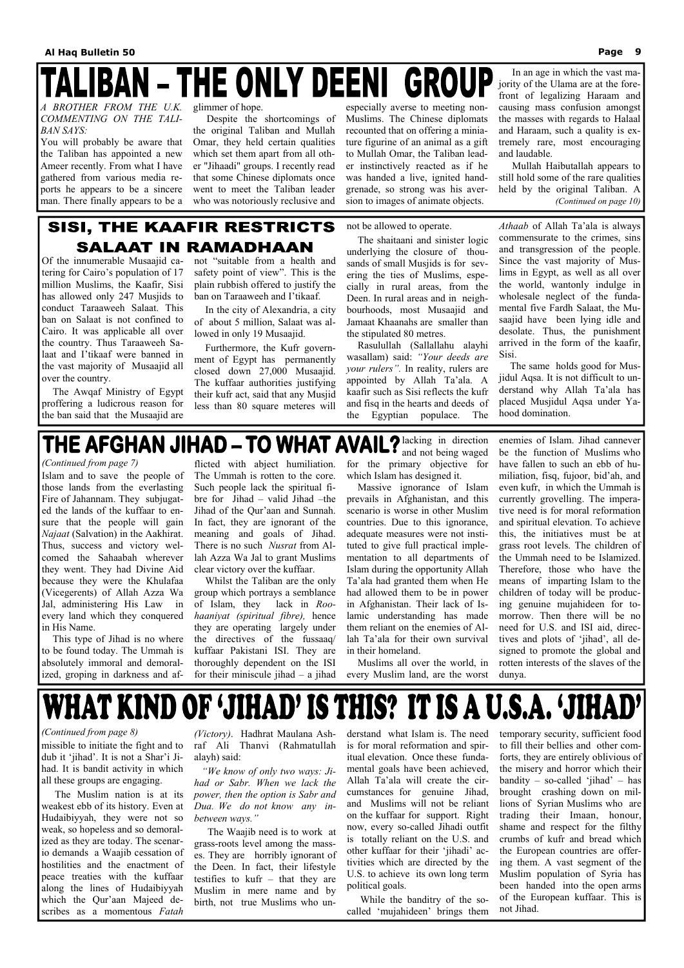# **IBAN - THE ONLY DEENI GROUP**

 The Muslim nation is at its weakest ebb of its history. Even at Hudaibiyyah, they were not so weak, so hopeless and so demoralized as they are today. The scenario demands a Waajib cessation of hostilities and the enactment of peace treaties with the kuffaar along the lines of Hudaibiyyah which the Qur'aan Majeed describes as a momentous *Fatah* 

*(Victory)*. Hadhrat Maulana Ashraf Ali Thanvi (Rahmatullah alayh) said:

 *"We know of only two ways: Jihad or Sabr. When we lack the power, then the option is Sabr and Dua. We do not know any inbetween ways."*

 The Waajib need is to work at grass-roots level among the masses. They are horribly ignorant of the Deen. In fact, their lifestyle testifies to kufr – that they are Muslim in mere name and by birth, not true Muslims who un-

missible to initiate the fight and to dub it 'jihad'. It is not a Shar'i Jihad. It is bandit activity in which all these groups are engaging. *(Continued from page 8)* 

derstand what Islam is. The need is for moral reformation and spiritual elevation. Once these fundamental goals have been achieved, Allah Ta'ala will create the circumstances for genuine Jihad, and Muslims will not be reliant on the kuffaar for support. Right now, every so-called Jihadi outfit is totally reliant on the U.S. and other kuffaar for their 'jihadi' activities which are directed by the U.S. to achieve its own long term political goals.

 While the banditry of the socalled 'mujahideen' brings them

temporary security, sufficient food to fill their bellies and other comforts, they are entirely oblivious of the misery and horror which their bandity – so-called 'jihad' – has brought crashing down on millions of Syrian Muslims who are trading their Imaan, honour, shame and respect for the filthy crumbs of kufr and bread which the European countries are offering them. A vast segment of the Muslim population of Syria has been handed into the open arms of the European kuffaar. This is not Jihad.

Of the innumerable Musaajid catering for Cairo's population of 17 million Muslims, the Kaafir, Sisi has allowed only 247 Musjids to conduct Taraaweeh Salaat. This ban on Salaat is not confined to Cairo. It was applicable all over the country. Thus Taraaweeh Salaat and I'tikaaf were banned in the vast majority of Musaajid all over the country.

 The Awqaf Ministry of Egypt proffering a ludicrous reason for the ban said that the Musaajid are

> Whilst the Taliban are the only group which portrays a semblance of Islam, they lack in *Roohaaniyat (spiritual fibre),* hence they are operating largely under the directives of the fussaaq/ kuffaar Pakistani ISI. They are thoroughly dependent on the ISI for their miniscule jihad  $-$  a jihad

not "suitable from a health and safety point of view". This is the plain rubbish offered to justify the ban on Taraaweeh and I'tikaaf.

 In the city of Alexandria, a city of about 5 million, Salaat was allowed in only 19 Musaajid.

 Furthermore, the Kufr government of Egypt has permanently closed down 27,000 Musaajid. The kuffaar authorities justifying their kufr act, said that any Musjid less than 80 square meteres will not be allowed to operate.

 The shaitaani and sinister logic underlying the closure of thousands of small Musjids is for severing the ties of Muslims, especially in rural areas, from the Deen. In rural areas and in neighbourhoods, most Musaajid and Jamaat Khaanahs are smaller than the stipulated 80 metres.

 Rasulullah (Sallallahu alayhi wasallam) said: *"Your deeds are your rulers".* In reality, rulers are appointed by Allah Ta'ala. A kaafir such as Sisi reflects the kufr and fisq in the hearts and deeds of the Egyptian populace. The

*Athaab* of Allah Ta'ala is always commensurate to the crimes, sins and transgression of the people. Since the vast majority of Muslims in Egypt, as well as all over the world, wantonly indulge in wholesale neglect of the fundamental five Fardh Salaat, the Musaajid have been lying idle and desolate. Thus, the punishment arrived in the form of the kaafir, Sisi.

 The same holds good for Musjidul Aqsa. It is not difficult to understand why Allah Ta'ala has placed Musjidul Aqsa under Yahood domination.

## THE AFGHAN JIHAD - TO WHAT AVAIL?  $_{\text{and not being wased}}^{\text{lack}}$

Islam and to save the people of those lands from the everlasting Fire of Jahannam. They subjugated the lands of the kuffaar to ensure that the people will gain *Najaat* (Salvation) in the Aakhirat. Thus, success and victory welcomed the Sahaabah wherever they went. They had Divine Aid because they were the Khulafaa (Vicegerents) of Allah Azza Wa Jal, administering His Law in every land which they conquered in His Name.

 This type of Jihad is no where to be found today. The Ummah is absolutely immoral and demoralized, groping in darkness and af-

flicted with abject humiliation. The Ummah is rotten to the core. Such people lack the spiritual fibre for Jihad – valid Jihad –the Jihad of the Qur'aan and Sunnah. In fact, they are ignorant of the meaning and goals of Jihad. There is no such *Nusrat* from Allah Azza Wa Jal to grant Muslims clear victory over the kuffaar.

and not being waged for the primary objective for which Islam has designed it.

 Massive ignorance of Islam prevails in Afghanistan, and this scenario is worse in other Muslim countries. Due to this ignorance, adequate measures were not instituted to give full practical implementation to all departments of Islam during the opportunity Allah Ta'ala had granted them when He had allowed them to be in power in Afghanistan. Their lack of Islamic understanding has made them reliant on the enemies of Allah Ta'ala for their own survival in their homeland.

 Muslims all over the world, in every Muslim land, are the worst enemies of Islam. Jihad cannever be the function of Muslims who have fallen to such an ebb of humiliation, fisq, fujoor, bid'ah, and even kufr, in which the Ummah is currently grovelling. The imperative need is for moral reformation and spiritual elevation. To achieve this, the initiatives must be at grass root levels. The children of the Ummah need to be Islamized. Therefore, those who have the means of imparting Islam to the children of today will be producing genuine mujahideen for tomorrow. Then there will be no need for U.S. and ISI aid, directives and plots of 'jihad', all designed to promote the global and rotten interests of the slaves of the dunya.



### *(Continued from page 7)*

*A BROTHER FROM THE U.K. COMMENTING ON THE TALI-BAN SAYS:* 

You will probably be aware that the Taliban has appointed a new Ameer recently. From what I have gathered from various media reports he appears to be a sincere man. There finally appears to be a

glimmer of hope.

 Despite the shortcomings of the original Taliban and Mullah Omar, they held certain qualities which set them apart from all other "Jihaadi" groups. I recently read that some Chinese diplomats once went to meet the Taliban leader who was notoriously reclusive and

especially averse to meeting non-Muslims. The Chinese diplomats recounted that on offering a miniature figurine of an animal as a gift to Mullah Omar, the Taliban leader instinctively reacted as if he was handed a live, ignited handgrenade, so strong was his aversion to images of animate objects.

 In an age in which the vast majority of the Ulama are at the forefront of legalizing Haraam and causing mass confusion amongst the masses with regards to Halaal and Haraam, such a quality is extremely rare, most encouraging and laudable.

 Mullah Haibutallah appears to still hold some of the rare qualities held by the original Taliban. A *(Continued on page 10)* 

### **SISI, THE KAAFIR RESTRICTS** SALAAT IN RAMADHAAN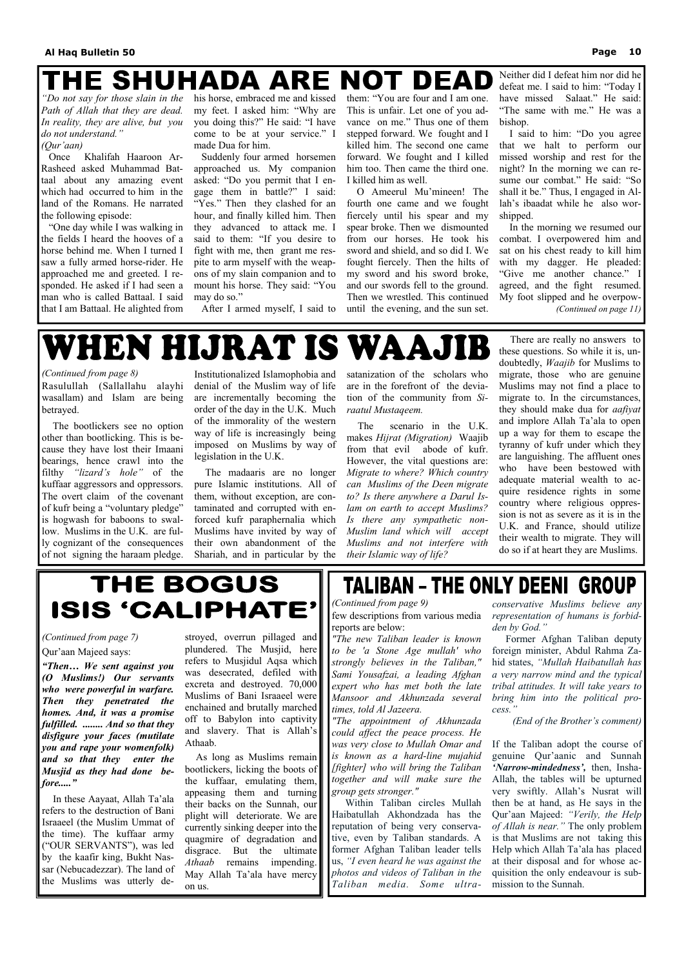### THE SHUHADA ARE **NOT DEAD**

*"Do not say for those slain in the Path of Allah that they are dead. In reality, they are alive, but you do not understand."* 

### *(Qur'aan)*

 Once Khalifah Haaroon Ar-Rasheed asked Muhammad Battaal about any amazing event which had occurred to him in the land of the Romans. He narrated the following episode:

 "One day while I was walking in the fields I heard the hooves of a horse behind me. When I turned I saw a fully armed horse-rider. He approached me and greeted. I responded. He asked if I had seen a man who is called Battaal. I said that I am Battaal. He alighted from his horse, embraced me and kissed my feet. I asked him: "Why are you doing this?" He said: "I have come to be at your service." I made Dua for him.

 Suddenly four armed horsemen approached us. My companion asked: "Do you permit that I engage them in battle?" I said: "Yes." Then they clashed for an hour, and finally killed him. Then they advanced to attack me. I said to them: "If you desire to fight with me, then grant me respite to arm myself with the weapons of my slain companion and to mount his horse. They said: "You may do so."

After I armed myself, I said to

## WHEN HIJRAT IS WAAJIB

them: "You are four and I am one. This is unfair. Let one of you advance on me." Thus one of them stepped forward. We fought and I killed him. The second one came forward. We fought and I killed him too. Then came the third one. I killed him as well.

 O Ameerul Mu'mineen! The fourth one came and we fought fiercely until his spear and my spear broke. Then we dismounted from our horses. He took his sword and shield, and so did I. We fought fiercely. Then the hilts of my sword and his sword broke, and our swords fell to the ground. Then we wrestled. This continued until the evening, and the sun set.

Neither did I defeat him nor did he defeat me. I said to him: "Today I have missed Salaat." He said: "The same with me." He was a bishop.

 I said to him: "Do you agree that we halt to perform our missed worship and rest for the night? In the morning we can resume our combat." He said: "So shall it be." Thus, I engaged in Allah's ibaadat while he also worshipped.

 In the morning we resumed our combat. I overpowered him and sat on his chest ready to kill him with my dagger. He pleaded: "Give me another chance." I agreed, and the fight resumed. My foot slipped and he overpow- *(Continued on page 11)* 

Rasulullah (Sallallahu alayhi wasallam) and Islam are being betrayed.

 The bootlickers see no option other than bootlicking. This is because they have lost their Imaani bearings, hence crawl into the filthy *"lizard's hole"* of the kuffaar aggressors and oppressors. The overt claim of the covenant of kufr being a "voluntary pledge" is hogwash for baboons to swallow. Muslims in the U.K. are fully cognizant of the consequences of not signing the haraam pledge.

Institutionalized Islamophobia and denial of the Muslim way of life are incrementally becoming the order of the day in the U.K. Much of the immorality of the western way of life is increasingly being imposed on Muslims by way of legislation in the U.K.

 The madaaris are no longer pure Islamic institutions. All of them, without exception, are contaminated and corrupted with enforced kufr paraphernalia which Muslims have invited by way of their own abandonment of the Shariah, and in particular by the satanization of the scholars who are in the forefront of the deviation of the community from *Siraatul Mustaqeem.*

 The scenario in the U.K. makes *Hijrat (Migration)* Waajib from that evil abode of kufr. However, the vital questions are: *Migrate to where? Which country can Muslims of the Deen migrate to? Is there anywhere a Darul Islam on earth to accept Muslims? Is there any sympathetic non-Muslim land which will accept Muslims and not interfere with their Islamic way of life?*

 There are really no answers to these questions. So while it is, undoubtedly, *Waajib* for Muslims to migrate, those who are genuine Muslims may not find a place to migrate to. In the circumstances, they should make dua for *aafiyat* and implore Allah Ta'ala to open up a way for them to escape the tyranny of kufr under which they are languishing. The affluent ones who have been bestowed with adequate material wealth to acquire residence rights in some country where religious oppression is not as severe as it is in the U.K. and France, should utilize their wealth to migrate. They will do so if at heart they are Muslims.

## THE BOGUS ISIS 'CALIPHATE'

### *(Continued from page 8)*

*"The new Taliban leader is known to be 'a Stone Age mullah' who strongly believes in the Taliban," Sami Yousafzai, a leading Afghan expert who has met both the late Mansoor and Akhunzada several times, told Al Jazeera.* 

*"The appointment of Akhunzada could affect the peace process. He was very close to Mullah Omar and is known as a hard-line mujahid [fighter] who will bring the Taliban together and will make sure the group gets stronger."*  Within Taliban circles Mullah Haibatullah Akhondzada has the reputation of being very conservative, even by Taliban standards. A former Afghan Taliban leader tells us, *"I even heard he was against the photos and videos of Taliban in the Taliban media. Some ultra-*

few descriptions from various media reports are below: *(Continued from page 9)* 

*conservative Muslims believe any representation of humans is forbidden by God."*

 Former Afghan Taliban deputy foreign minister, Abdul Rahma Zahid states, *"Mullah Haibatullah has a very narrow mind and the typical tribal attitudes. It will take years to bring him into the political process."* 

*(End of the Brother's comment)* 

If the Taliban adopt the course of genuine Qur'aanic and Sunnah *'Narrow-mindedness',* then, Insha-Allah, the tables will be upturned very swiftly. Allah's Nusrat will then be at hand, as He says in the Qur'aan Majeed: *"Verily, the Help of Allah is near."* The only problem is that Muslims are not taking this Help which Allah Ta'ala has placed at their disposal and for whose acquisition the only endeavour is submission to the Sunnah.

Qur'aan Majeed says:

*"Then… We sent against you (O Muslims!) Our servants who were powerful in warfare. Then they penetrated the homes. And, it was a promise fulfilled. ........ And so that they disfigure your faces (mutilate you and rape your womenfolk) and so that they enter the Musjid as they had done before....."*  In these Aayaat, Allah Ta'ala refers to the destruction of Bani Israaeel (the Muslim Ummat of the time). The kuffaar army ("OUR SERVANTS"), was led by the kaafir king, Bukht Nassar (Nebucadezzar). The land of the Muslims was utterly destroyed, overrun pillaged and plundered. The Musjid, here refers to Musjidul Aqsa which was desecrated, defiled with excreta and destroyed. 70,000 Muslims of Bani Israaeel were enchained and brutally marched off to Babylon into captivity and slavery. That is Allah's Athaab.

### **TALIBAN - THE ONLY DEENI GROUP**

 As long as Muslims remain bootlickers, licking the boots of the kuffaar, emulating them, appeasing them and turning their backs on the Sunnah, our plight will deteriorate. We are currently sinking deeper into the quagmire of degradation and disgrace. But the ultimate *Athaab* remains impending. May Allah Ta'ala have mercy on us.

### *(Continued from page 7)*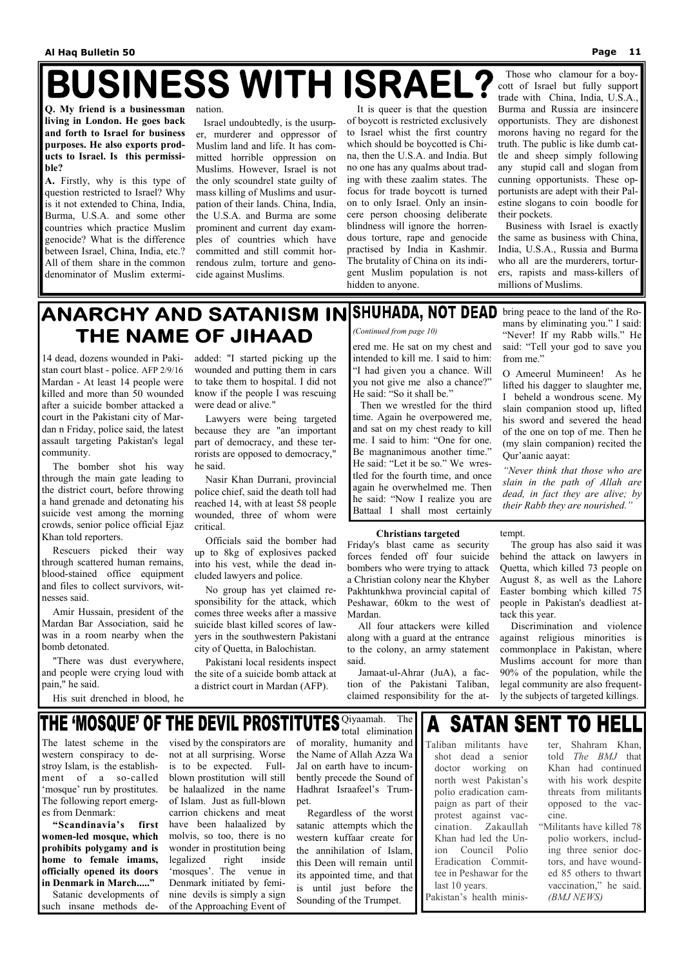# **BUSINESS WITH ISRAEL?**

**Q. My friend is a businessman living in London. He goes back and forth to Israel for business purposes. He also exports products to Israel. Is this permissible?** 

**A.** Firstly, why is this type of question restricted to Israel? Why is it not extended to China, India, Burma, U.S.A. and some other countries which practice Muslim genocide? What is the difference between Israel, China, India, etc.? All of them share in the common denominator of Muslim extermination.

 Israel undoubtedly, is the usurper, murderer and oppressor of Muslim land and life. It has committed horrible oppression on Muslims. However, Israel is not the only scoundrel state guilty of mass killing of Muslims and usurpation of their lands. China, India, the U.S.A. and Burma are some prominent and current day examples of countries which have committed and still commit horrendous zulm, torture and genocide against Muslims.

 It is queer is that the question of boycott is restricted exclusively to Israel whist the first country which should be boycotted is China, then the U.S.A. and India. But no one has any qualms about trading with these zaalim states. The focus for trade boycott is turned on to only Israel. Only an insincere person choosing deliberate blindness will ignore the horrendous torture, rape and genocide practised by India in Kashmir. The brutality of China on its indigent Muslim population is not hidden to anyone.

 Those who clamour for a boycott of Israel but fully support trade with China, India,  $\overrightarrow{US}$  A Burma and Russia are insincere opportunists. They are dishonest morons having no regard for the truth. The public is like dumb cattle and sheep simply following any stupid call and slogan from cunning opportunists. These opportunists are adept with their Palestine slogans to coin boodle for their pockets.

 Business with Israel is exactly the same as business with China, India, U.S.A., Russia and Burma who all are the murderers, torturers, rapists and mass-killers of millions of Muslims.

14 dead, dozens wounded in Pakistan court blast - police. AFP 2/9/16 Mardan - At least 14 people were killed and more than 50 wounded after a suicide bomber attacked a court in the Pakistani city of Mardan n Friday, police said, the latest assault targeting Pakistan's legal community.

 The bomber shot his way through the main gate leading to the district court, before throwing a hand grenade and detonating his suicide vest among the morning crowds, senior police official Ejaz Khan told reporters.

 Rescuers picked their way through scattered human remains, blood-stained office equipment and files to collect survivors, witnesses said.

 Amir Hussain, president of the Mardan Bar Association, said he was in a room nearby when the bomb detonated.

 "There was dust everywhere, and people were crying loud with pain," he said.

### ANARCHY AND SATANISM IN SHUHADA, NOT DEAD bring peace to the land of the Ro-THE NAME OF JIHAAD *(Continued from page 10)*

His suit drenched in blood, he

added: "I started picking up the wounded and putting them in cars to take them to hospital. I did not know if the people I was rescuing were dead or alive."

 Lawyers were being targeted because they are "an important part of democracy, and these terrorists are opposed to democracy," he said.

 Nasir Khan Durrani, provincial police chief, said the death toll had reached 14, with at least 58 people wounded, three of whom were critical.

 Officials said the bomber had up to 8kg of explosives packed into his vest, while the dead included lawyers and police.

 No group has yet claimed responsibility for the attack, which comes three weeks after a massive suicide blast killed scores of lawyers in the southwestern Pakistani city of Quetta, in Balochistan.

 Pakistani local residents inspect the site of a suicide bomb attack at a district court in Mardan (AFP).

#### **Christians targeted**

Friday's blast came as security forces fended off four suicide bombers who were trying to attack a Christian colony near the Khyber Pakhtunkhwa provincial capital of Peshawar, 60km to the west of Mardan.

 All four attackers were killed along with a guard at the entrance to the colony, an army statement said.

 Jamaat-ul-Ahrar (JuA), a faction of the Pakistani Taliban, claimed responsibility for the attempt.

 The group has also said it was behind the attack on lawyers in Quetta, which killed 73 people on August 8, as well as the Lahore Easter bombing which killed 75 people in Pakistan's deadliest attack this year.

 Discrimination and violence against religious minorities is commonplace in Pakistan, where Muslims account for more than 90% of the population, while the legal community are also frequently the subjects of targeted killings.

ered me. He sat on my chest and intended to kill me. I said to him: "I had given you a chance. Will you not give me also a chance?" He said: "So it shall be."

 Then we wrestled for the third time. Again he overpowered me, and sat on my chest ready to kill me. I said to him: "One for one. Be magnanimous another time." He said: "Let it be so." We wrestled for the fourth time, and once again he overwhelmed me. Then he said: "Now I realize you are Battaal I shall most certainly

mans by eliminating you." I said: "Never! If my Rabb wills." He said: "Tell your god to save you from me."

O Ameerul Mumineen! As he lifted his dagger to slaughter me, I beheld a wondrous scene. My slain companion stood up, lifted his sword and severed the head of the one on top of me. Then he (my slain companion) recited the Qur'aanic aayat:

*"Never think that those who are slain in the path of Allah are dead, in fact they are alive; by their Rabb they are nourished."*

The latest scheme in the western conspiracy to destroy Islam, is the establishment of a so-called 'mosque' run by prostitutes. The following report emerges from Denmark:

**"Scandinavia's first women-led mosque, which prohibits polygamy and is home to female imams, officially opened its doors in Denmark in March....."**  Satanic developments of

such insane methods de-

vised by the conspirators are not at all surprising. Worse is to be expected. Fullblown prostitution will still be halaalized in the name of Islam. Just as full-blown carrion chickens and meat have been halaalized by molvis, so too, there is no wonder in prostitution being legalized right inside 'mosques'. The venue in Denmark initiated by feminine devils is simply a sign

**THE 'MOSQUE' OF THE DEVIL PROSTITUTES** Qiyaamah. The

of the Approaching Event of

total elimination of morality, humanity and the Name of Allah Azza Wa Jal on earth have to incum-

bently precede the Sound of Hadhrat Israafeel's Trumpet.

 Regardless of the worst satanic attempts which the western kuffaar create for the annihilation of Islam, this Deen will remain until its appointed time, and that is until just before the Sounding of the Trumpet.

#### **SATAN SENT TO HELL**  $\overline{A}$

Taliban militants have shot dead a senior doctor working on north west Pakistan's polio eradication campaign as part of their protest against vaccination. Zakaullah Khan had led the Union Council Polio Eradication Committee in Peshawar for the last 10 years. Pakistan's health minis-

ter, Shahram Khan, told *The BMJ* that Khan had continued with his work despite threats from militants opposed to the vaccine.

"Militants have killed 78 polio workers, including three senior doctors, and have wounded 85 others to thwart vaccination," he said. *(BMJ NEWS)*